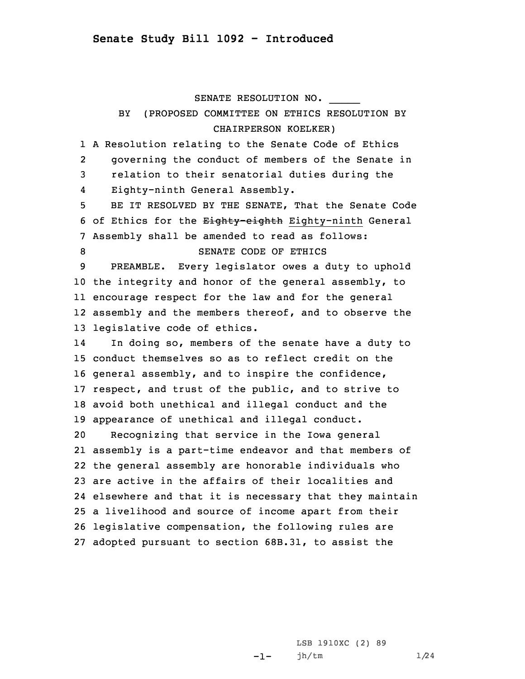SENATE RESOLUTION NO.

\_\_\_\_\_

## **BY**  (PROPOSED COMMITTEE ON ETHICS RESOLUTION BY CHAIRPERSON KOELKER)

1 <sup>A</sup> Resolution relating to the Senate Code of Ethics 2 governing the conduct of members of the Senate in 3 relation to their senatorial duties during the 4Eighty-ninth General Assembly.

5 BE IT RESOLVED BY THE SENATE, That the Senate Code 6 of Ethics for the Eighty-eighth Eighty-ninth General 7 Assembly shall be amended to read as follows: 8 SENATE CODE OF ETHICS

 PREAMBLE. Every legislator owes <sup>a</sup> duty to uphold the integrity and honor of the general assembly, to encourage respect for the law and for the general assembly and the members thereof, and to observe the legislative code of ethics.

14 In doing so, members of the senate have <sup>a</sup> duty to conduct themselves so as to reflect credit on the general assembly, and to inspire the confidence, respect, and trust of the public, and to strive to avoid both unethical and illegal conduct and the appearance of unethical and illegal conduct. Recognizing that service in the Iowa general assembly is <sup>a</sup> part-time endeavor and that members of

 the general assembly are honorable individuals who are active in the affairs of their localities and elsewhere and that it is necessary that they maintain <sup>a</sup> livelihood and source of income apart from their legislative compensation, the following rules are adopted pursuant to section 68B.31, to assist the

> -1-LSB 1910XC (2) 89 jh/tm 1/24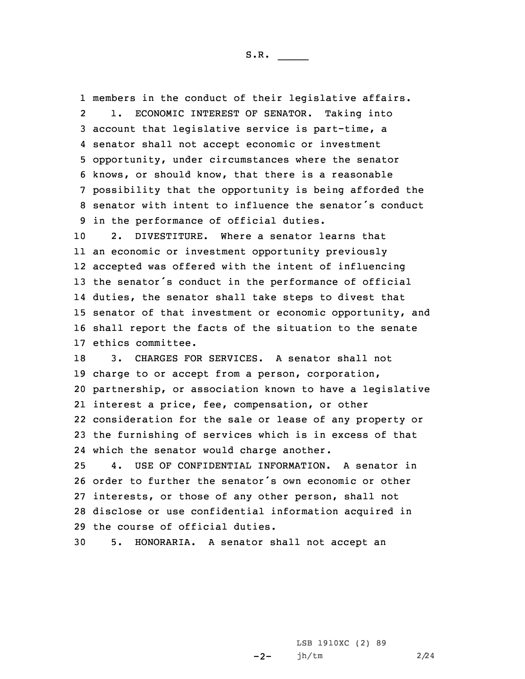members in the conduct of their legislative affairs.  $2<sup>1</sup>$  1. ECONOMIC INTEREST OF SENATOR. Taking into account that legislative service is part-time, <sup>a</sup> senator shall not accept economic or investment opportunity, under circumstances where the senator knows, or should know, that there is <sup>a</sup> reasonable possibility that the opportunity is being afforded the senator with intent to influence the senator's conduct in the performance of official duties.

 2. DIVESTITURE. Where a senator learns that an economic or investment opportunity previously accepted was offered with the intent of influencing the senator's conduct in the performance of official duties, the senator shall take steps to divest that senator of that investment or economic opportunity, and shall report the facts of the situation to the senate ethics committee.

 3. CHARGES FOR SERVICES. A senator shall not charge to or accept from <sup>a</sup> person, corporation, partnership, or association known to have <sup>a</sup> legislative interest <sup>a</sup> price, fee, compensation, or other consideration for the sale or lease of any property or the furnishing of services which is in excess of that which the senator would charge another.

 4. USE OF CONFIDENTIAL INFORMATION. A senator in order to further the senator's own economic or other interests, or those of any other person, shall not disclose or use confidential information acquired in the course of official duties.

30 5. HONORARIA. A senator shall not accept an

 $-2-$ LSB 1910XC (2) 89 jh/tm 2/24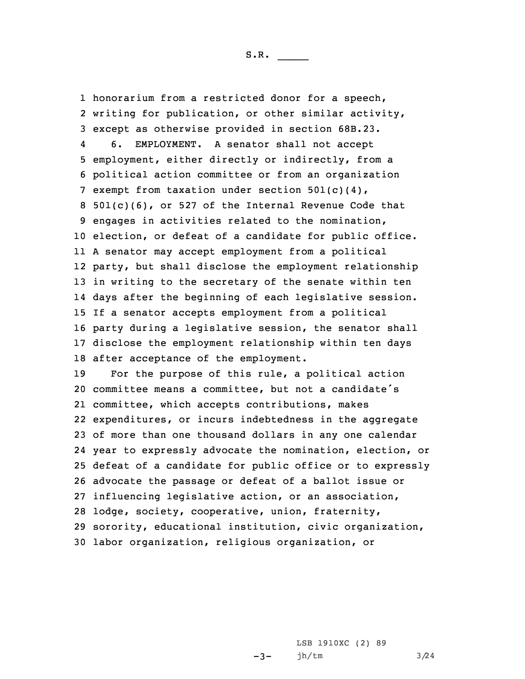honorarium from <sup>a</sup> restricted donor for <sup>a</sup> speech, writing for publication, or other similar activity, except as otherwise provided in section 68B.23. 4 6. EMPLOYMENT. A senator shall not accept employment, either directly or indirectly, from <sup>a</sup> political action committee or from an organization exempt from taxation under section 501(c)(4), 501(c)(6), or 527 of the Internal Revenue Code that engages in activities related to the nomination, election, or defeat of <sup>a</sup> candidate for public office. <sup>A</sup> senator may accept employment from <sup>a</sup> political party, but shall disclose the employment relationship in writing to the secretary of the senate within ten days after the beginning of each legislative session. If <sup>a</sup> senator accepts employment from <sup>a</sup> political party during <sup>a</sup> legislative session, the senator shall disclose the employment relationship within ten days after acceptance of the employment. For the purpose of this rule, <sup>a</sup> political action committee means <sup>a</sup> committee, but not <sup>a</sup> candidate's committee, which accepts contributions, makes expenditures, or incurs indebtedness in the aggregate of more than one thousand dollars in any one calendar year to expressly advocate the nomination, election, or defeat of <sup>a</sup> candidate for public office or to expressly

 advocate the passage or defeat of <sup>a</sup> ballot issue or influencing legislative action, or an association, lodge, society, cooperative, union, fraternity, sorority, educational institution, civic organization, labor organization, religious organization, or

> $-3-$ LSB 1910XC (2) 89 jh/tm 3/24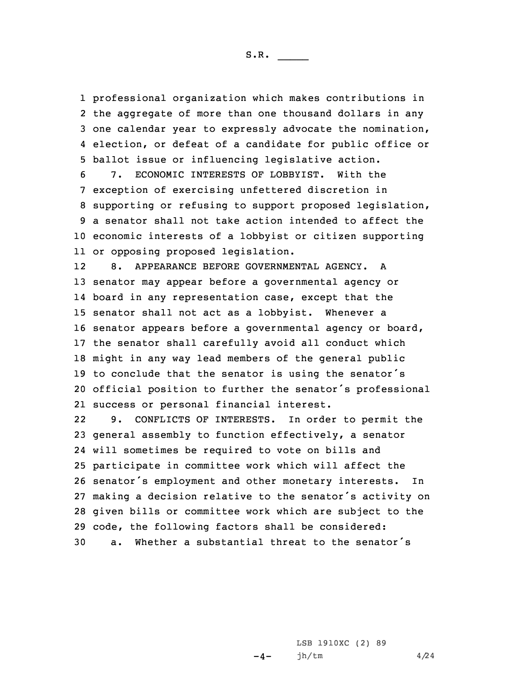professional organization which makes contributions in the aggregate of more than one thousand dollars in any one calendar year to expressly advocate the nomination, election, or defeat of <sup>a</sup> candidate for public office or ballot issue or influencing legislative action.

 7. ECONOMIC INTERESTS OF LOBBYIST. With the exception of exercising unfettered discretion in supporting or refusing to support proposed legislation, <sup>a</sup> senator shall not take action intended to affect the economic interests of <sup>a</sup> lobbyist or citizen supporting or opposing proposed legislation.

12 8. APPEARANCE BEFORE GOVERNMENTAL AGENCY. A senator may appear before <sup>a</sup> governmental agency or board in any representation case, except that the senator shall not act as <sup>a</sup> lobbyist. Whenever <sup>a</sup> senator appears before <sup>a</sup> governmental agency or board, the senator shall carefully avoid all conduct which might in any way lead members of the general public to conclude that the senator is using the senator's official position to further the senator's professional success or personal financial interest.

22 9. CONFLICTS OF INTERESTS. In order to permit the general assembly to function effectively, <sup>a</sup> senator will sometimes be required to vote on bills and participate in committee work which will affect the senator's employment and other monetary interests. In making <sup>a</sup> decision relative to the senator's activity on given bills or committee work which are subject to the code, the following factors shall be considered: a. Whether <sup>a</sup> substantial threat to the senator's

> $-4-$ LSB 1910XC (2) 89 jh/tm 4/24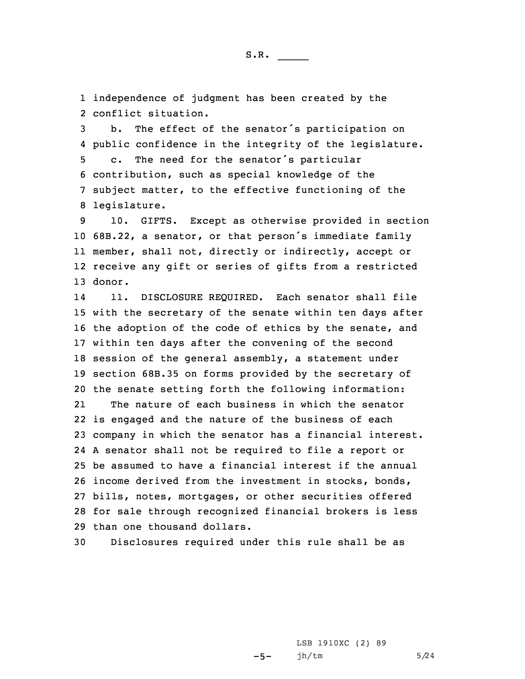1 independence of judgment has been created by the 2 conflict situation.

 b. The effect of the senator's participation on public confidence in the integrity of the legislature. c. The need for the senator's particular contribution, such as special knowledge of the subject matter, to the effective functioning of the legislature.

 10. GIFTS. Except as otherwise provided in section 68B.22, <sup>a</sup> senator, or that person's immediate family member, shall not, directly or indirectly, accept or receive any gift or series of gifts from <sup>a</sup> restricted 13 donor.

14 11. DISCLOSURE REQUIRED. Each senator shall file with the secretary of the senate within ten days after the adoption of the code of ethics by the senate, and within ten days after the convening of the second session of the general assembly, <sup>a</sup> statement under section 68B.35 on forms provided by the secretary of the senate setting forth the following information: 21 The nature of each business in which the senator is engaged and the nature of the business of each company in which the senator has <sup>a</sup> financial interest. <sup>A</sup> senator shall not be required to file <sup>a</sup> report or be assumed to have <sup>a</sup> financial interest if the annual income derived from the investment in stocks, bonds, bills, notes, mortgages, or other securities offered for sale through recognized financial brokers is less than one thousand dollars.

30 Disclosures required under this rule shall be as

 $-5-$ LSB 1910XC (2) 89 jh/tm  $5/24$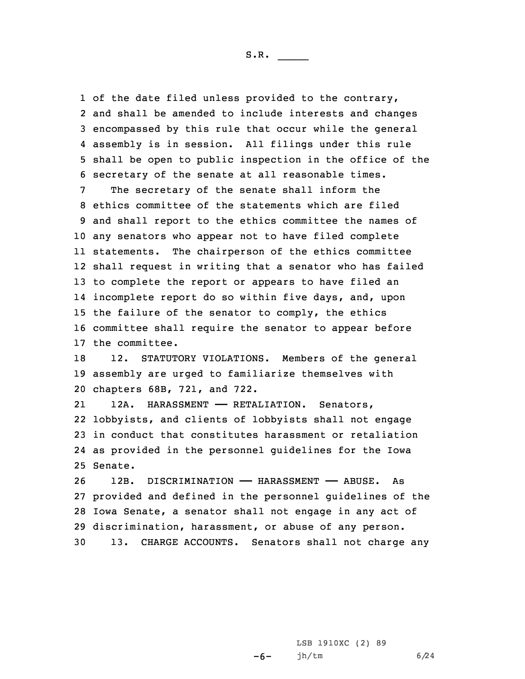of the date filed unless provided to the contrary, and shall be amended to include interests and changes encompassed by this rule that occur while the general assembly is in session. All filings under this rule shall be open to public inspection in the office of the secretary of the senate at all reasonable times.

 The secretary of the senate shall inform the ethics committee of the statements which are filed and shall report to the ethics committee the names of any senators who appear not to have filed complete statements. The chairperson of the ethics committee shall request in writing that <sup>a</sup> senator who has failed to complete the report or appears to have filed an incomplete report do so within five days, and, upon the failure of the senator to comply, the ethics committee shall require the senator to appear before the committee.

18 12. STATUTORY VIOLATIONS. Members of the general 19 assembly are urged to familiarize themselves with 20 chapters 68B, 721, and 722.

2112A. HARASSMENT - RETALIATION. Senators, 22 lobbyists, and clients of lobbyists shall not engage 23 in conduct that constitutes harassment or retaliation 24 as provided in the personnel guidelines for the Iowa 25 Senate.

 12B. DISCRIMINATION —— HARASSMENT —— ABUSE. As provided and defined in the personnel guidelines of the Iowa Senate, <sup>a</sup> senator shall not engage in any act of discrimination, harassment, or abuse of any person. 13. CHARGE ACCOUNTS. Senators shall not charge any

> $-6-$ LSB 1910XC (2) 89 jh/tm 6/24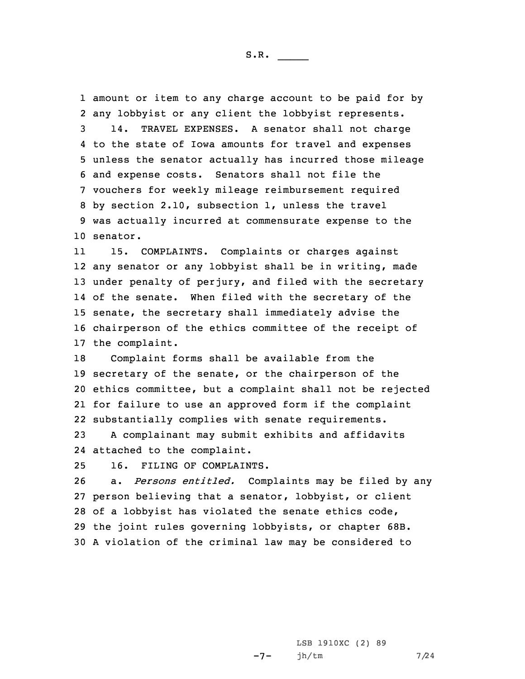amount or item to any charge account to be paid for by any lobbyist or any client the lobbyist represents. 14. TRAVEL EXPENSES. A senator shall not charge to the state of Iowa amounts for travel and expenses unless the senator actually has incurred those mileage and expense costs. Senators shall not file the vouchers for weekly mileage reimbursement required by section 2.10, subsection 1, unless the travel was actually incurred at commensurate expense to the 10 senator.

11 15. COMPLAINTS. Complaints or charges against any senator or any lobbyist shall be in writing, made under penalty of perjury, and filed with the secretary of the senate. When filed with the secretary of the senate, the secretary shall immediately advise the chairperson of the ethics committee of the receipt of the complaint.

 Complaint forms shall be available from the secretary of the senate, or the chairperson of the ethics committee, but <sup>a</sup> complaint shall not be rejected for failure to use an approved form if the complaint substantially complies with senate requirements.

23 <sup>A</sup> complainant may submit exhibits and affidavits 24 attached to the complaint.

25 16. FILING OF COMPLAINTS.

 a. *Persons entitled.* Complaints may be filed by any person believing that <sup>a</sup> senator, lobbyist, or client of <sup>a</sup> lobbyist has violated the senate ethics code, the joint rules governing lobbyists, or chapter 68B. <sup>A</sup> violation of the criminal law may be considered to

> $-7-$ LSB 1910XC (2) 89 jh/tm 7/24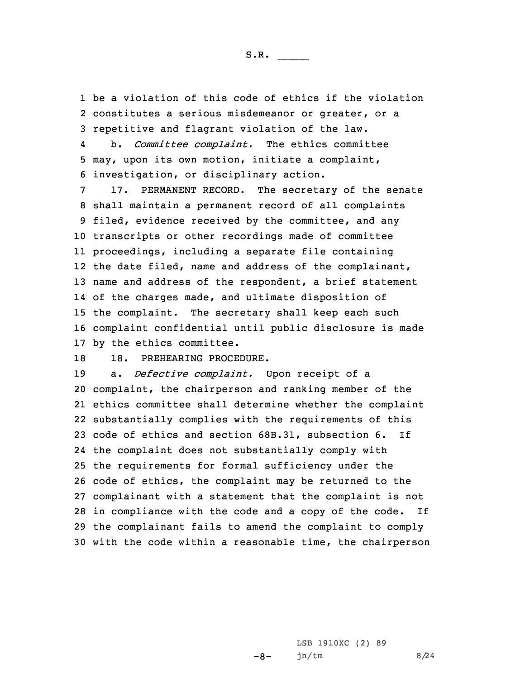1 be <sup>a</sup> violation of this code of ethics if the violation 2 constitutes <sup>a</sup> serious misdemeanor or greater, or <sup>a</sup> 3 repetitive and flagrant violation of the law.

4 b. *Committee complaint.* The ethics committee 5 may, upon its own motion, initiate <sup>a</sup> complaint, 6 investigation, or disciplinary action.

 17. PERMANENT RECORD. The secretary of the senate shall maintain <sup>a</sup> permanent record of all complaints filed, evidence received by the committee, and any transcripts or other recordings made of committee proceedings, including <sup>a</sup> separate file containing the date filed, name and address of the complainant, name and address of the respondent, <sup>a</sup> brief statement of the charges made, and ultimate disposition of the complaint. The secretary shall keep each such complaint confidential until public disclosure is made by the ethics committee.

18 18. PREHEARING PROCEDURE.

 a. *Defective complaint.* Upon receipt of <sup>a</sup> complaint, the chairperson and ranking member of the ethics committee shall determine whether the complaint substantially complies with the requirements of this code of ethics and section 68B.31, subsection 6. If the complaint does not substantially comply with the requirements for formal sufficiency under the code of ethics, the complaint may be returned to the complainant with <sup>a</sup> statement that the complaint is not in compliance with the code and <sup>a</sup> copy of the code. If the complainant fails to amend the complaint to comply with the code within <sup>a</sup> reasonable time, the chairperson

> -8- LSB 1910XC (2) 89 jh/tm 8/24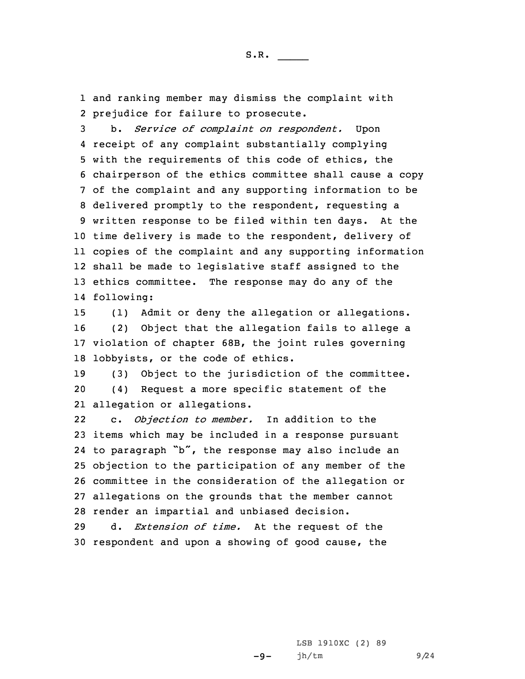1 and ranking member may dismiss the complaint with 2 prejudice for failure to prosecute.

 b. *Service of complaint on respondent.* Upon receipt of any complaint substantially complying with the requirements of this code of ethics, the chairperson of the ethics committee shall cause <sup>a</sup> copy of the complaint and any supporting information to be delivered promptly to the respondent, requesting <sup>a</sup> written response to be filed within ten days. At the time delivery is made to the respondent, delivery of copies of the complaint and any supporting information shall be made to legislative staff assigned to the ethics committee. The response may do any of the following:

 (1) Admit or deny the allegation or allegations. (2) Object that the allegation fails to allege <sup>a</sup> violation of chapter 68B, the joint rules governing lobbyists, or the code of ethics.

19 (3) Object to the jurisdiction of the committee. 20 (4) Request <sup>a</sup> more specific statement of the 21 allegation or allegations.

22 c. *Objection to member.* In addition to the items which may be included in <sup>a</sup> response pursuant to paragraph "b", the response may also include an objection to the participation of any member of the committee in the consideration of the allegation or allegations on the grounds that the member cannot render an impartial and unbiased decision.

29 d. *Extension of time.* At the request of the 30 respondent and upon <sup>a</sup> showing of good cause, the

-9-

LSB 1910XC (2) 89 jh/tm 9/24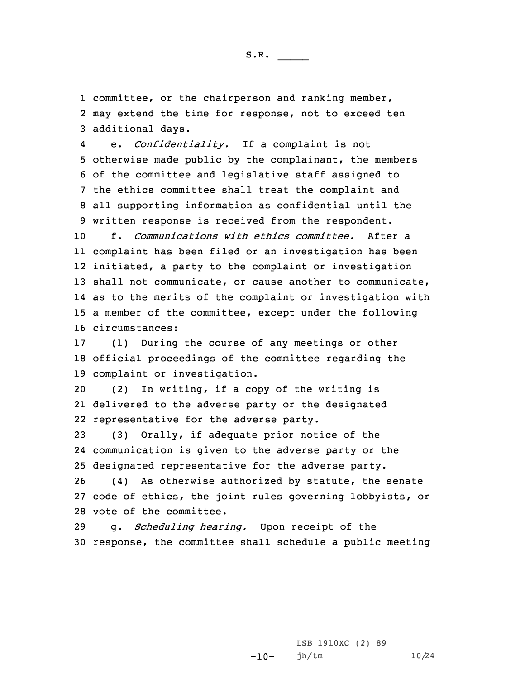1 committee, or the chairperson and ranking member, 2 may extend the time for response, not to exceed ten 3 additional days.

4 e. *Confidentiality.* If <sup>a</sup> complaint is not otherwise made public by the complainant, the members of the committee and legislative staff assigned to the ethics committee shall treat the complaint and all supporting information as confidential until the written response is received from the respondent.

 f. *Communications with ethics committee.* After <sup>a</sup> complaint has been filed or an investigation has been initiated, <sup>a</sup> party to the complaint or investigation shall not communicate, or cause another to communicate, as to the merits of the complaint or investigation with <sup>a</sup> member of the committee, except under the following circumstances:

17 (1) During the course of any meetings or other 18 official proceedings of the committee regarding the 19 complaint or investigation.

20 (2) In writing, if <sup>a</sup> copy of the writing is 21 delivered to the adverse party or the designated 22 representative for the adverse party.

23 (3) Orally, if adequate prior notice of the 24 communication is given to the adverse party or the 25 designated representative for the adverse party.

26 (4) As otherwise authorized by statute, the senate 27 code of ethics, the joint rules governing lobbyists, or 28 vote of the committee.

29 g. *Scheduling hearing.* Upon receipt of the 30 response, the committee shall schedule <sup>a</sup> public meeting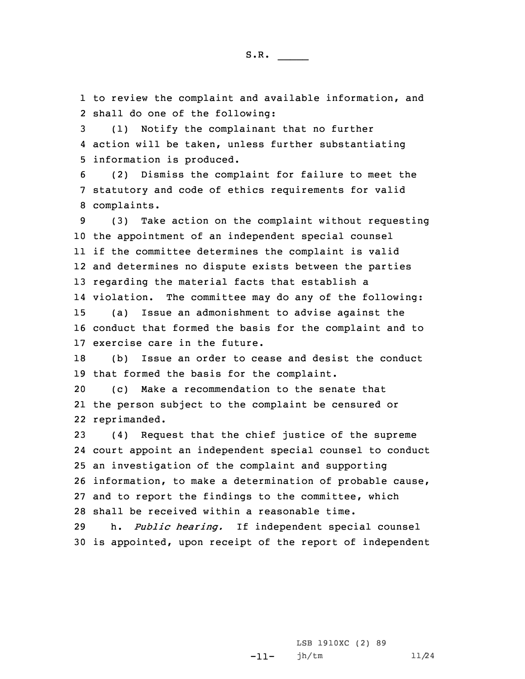1 to review the complaint and available information, and 2 shall do one of the following:

3 (1) Notify the complainant that no further 4 action will be taken, unless further substantiating 5 information is produced.

6 (2) Dismiss the complaint for failure to meet the 7 statutory and code of ethics requirements for valid 8 complaints.

 (3) Take action on the complaint without requesting the appointment of an independent special counsel if the committee determines the complaint is valid and determines no dispute exists between the parties regarding the material facts that establish <sup>a</sup> violation. The committee may do any of the following: (a) Issue an admonishment to advise against the conduct that formed the basis for the complaint and to exercise care in the future.

18 (b) Issue an order to cease and desist the conduct 19 that formed the basis for the complaint.

20 (c) Make <sup>a</sup> recommendation to the senate that 21 the person subject to the complaint be censured or 22 reprimanded.

 (4) Request that the chief justice of the supreme court appoint an independent special counsel to conduct an investigation of the complaint and supporting information, to make <sup>a</sup> determination of probable cause, and to report the findings to the committee, which shall be received within <sup>a</sup> reasonable time.

29 h. *Public hearing.* If independent special counsel 30 is appointed, upon receipt of the report of independent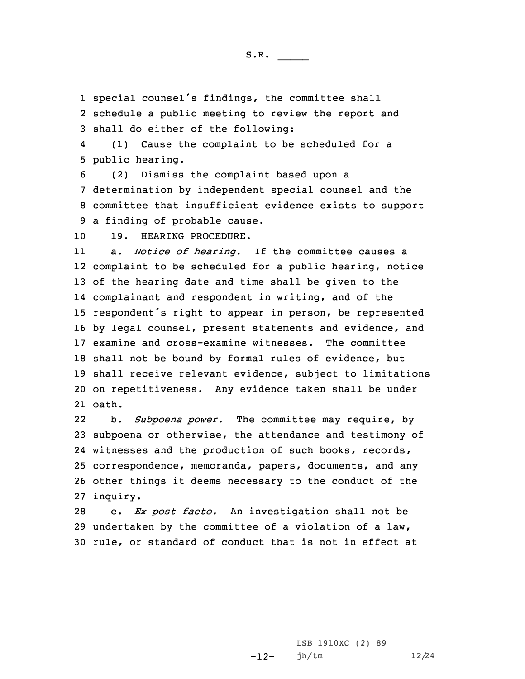1 special counsel's findings, the committee shall

2 schedule <sup>a</sup> public meeting to review the report and 3 shall do either of the following:

4 (1) Cause the complaint to be scheduled for <sup>a</sup> 5 public hearing.

 (2) Dismiss the complaint based upon <sup>a</sup> determination by independent special counsel and the committee that insufficient evidence exists to support <sup>a</sup> finding of probable cause.

10 19. HEARING PROCEDURE.

11 a. *Notice of hearing.* If the committee causes <sup>a</sup> complaint to be scheduled for <sup>a</sup> public hearing, notice of the hearing date and time shall be given to the complainant and respondent in writing, and of the respondent's right to appear in person, be represented by legal counsel, present statements and evidence, and examine and cross-examine witnesses. The committee shall not be bound by formal rules of evidence, but shall receive relevant evidence, subject to limitations on repetitiveness. Any evidence taken shall be under 21 oath.

22 b. *Subpoena power.* The committee may require, by 23 subpoena or otherwise, the attendance and testimony of 24 witnesses and the production of such books, records, 25 correspondence, memoranda, papers, documents, and any 26 other things it deems necessary to the conduct of the 27 inquiry.

28 c. *Ex post facto.* An investigation shall not be 29 undertaken by the committee of <sup>a</sup> violation of <sup>a</sup> law, 30 rule, or standard of conduct that is not in effect at

> -12-LSB 1910XC (2) 89 jh/tm 12/24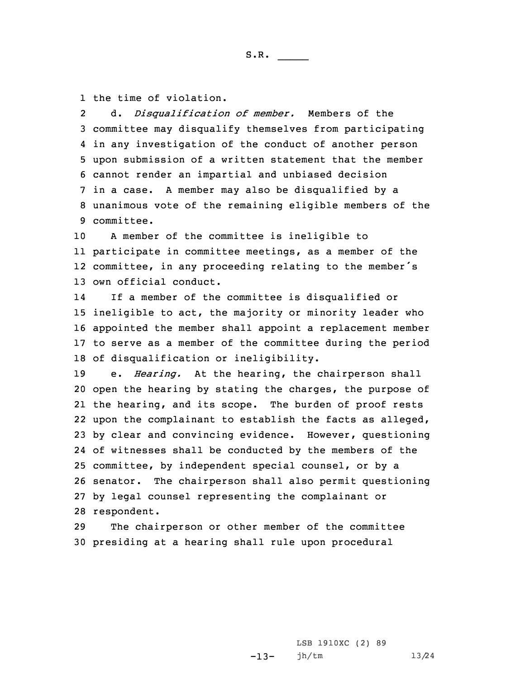1 the time of violation.

2 d. *Disqualification of member.* Members of the committee may disqualify themselves from participating in any investigation of the conduct of another person upon submission of <sup>a</sup> written statement that the member cannot render an impartial and unbiased decision in <sup>a</sup> case. <sup>A</sup> member may also be disqualified by <sup>a</sup> unanimous vote of the remaining eligible members of the committee.

 <sup>A</sup> member of the committee is ineligible to participate in committee meetings, as <sup>a</sup> member of the committee, in any proceeding relating to the member's own official conduct.

14 If <sup>a</sup> member of the committee is disqualified or ineligible to act, the majority or minority leader who appointed the member shall appoint <sup>a</sup> replacement member to serve as <sup>a</sup> member of the committee during the period of disqualification or ineligibility.

 e. *Hearing.* At the hearing, the chairperson shall open the hearing by stating the charges, the purpose of the hearing, and its scope. The burden of proof rests upon the complainant to establish the facts as alleged, by clear and convincing evidence. However, questioning of witnesses shall be conducted by the members of the committee, by independent special counsel, or by <sup>a</sup> senator. The chairperson shall also permit questioning by legal counsel representing the complainant or respondent.

29 The chairperson or other member of the committee 30 presiding at <sup>a</sup> hearing shall rule upon procedural

> $-13-$ LSB 1910XC (2) 89 jh/tm 13/24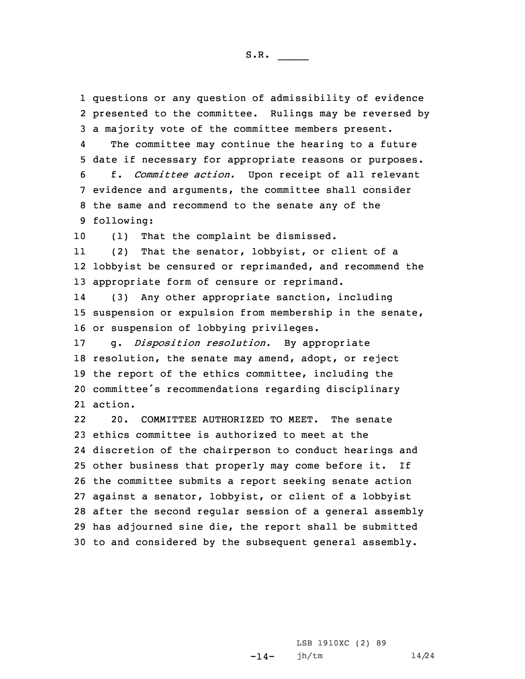questions or any question of admissibility of evidence presented to the committee. Rulings may be reversed by <sup>a</sup> majority vote of the committee members present. 4The committee may continue the hearing to a future date if necessary for appropriate reasons or purposes. f. *Committee action.* Upon receipt of all relevant evidence and arguments, the committee shall consider the same and recommend to the senate any of the following: (1) That the complaint be dismissed. 11 (2) That the senator, lobbyist, or client of <sup>a</sup> lobbyist be censured or reprimanded, and recommend the appropriate form of censure or reprimand. 14 (3) Any other appropriate sanction, including suspension or expulsion from membership in the senate, or suspension of lobbying privileges. g. *Disposition resolution.* By appropriate resolution, the senate may amend, adopt, or reject the report of the ethics committee, including the committee's recommendations regarding disciplinary 21 action. 22 20. COMMITTEE AUTHORIZED TO MEET. The senate ethics committee is authorized to meet at the discretion of the chairperson to conduct hearings and other business that properly may come before it. If the committee submits <sup>a</sup> report seeking senate action against <sup>a</sup> senator, lobbyist, or client of <sup>a</sup> lobbyist after the second regular session of <sup>a</sup> general assembly has adjourned sine die, the report shall be submitted to and considered by the subsequent general assembly.

> $-14-$ LSB 1910XC (2) 89 jh/tm 14/24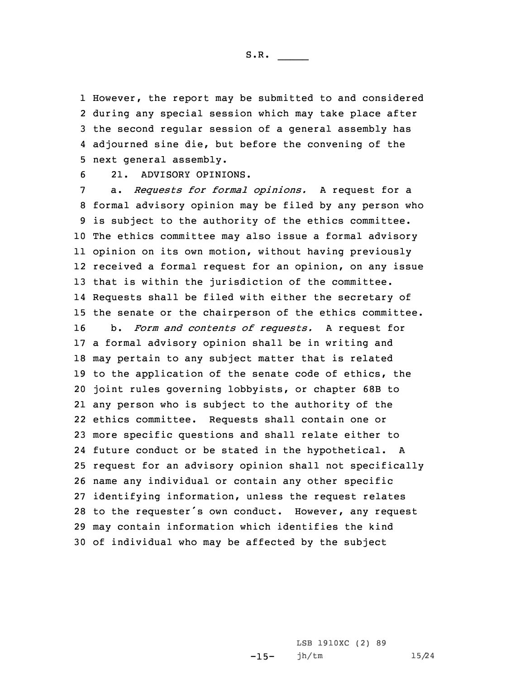However, the report may be submitted to and considered during any special session which may take place after the second regular session of <sup>a</sup> general assembly has adjourned sine die, but before the convening of the next general assembly.

6 21. ADVISORY OPINIONS.

 a. *Requests for formal opinions.* <sup>A</sup> request for <sup>a</sup> formal advisory opinion may be filed by any person who is subject to the authority of the ethics committee. The ethics committee may also issue <sup>a</sup> formal advisory opinion on its own motion, without having previously received <sup>a</sup> formal request for an opinion, on any issue that is within the jurisdiction of the committee. Requests shall be filed with either the secretary of the senate or the chairperson of the ethics committee. b. *Form and contents of requests.* <sup>A</sup> request for <sup>a</sup> formal advisory opinion shall be in writing and may pertain to any subject matter that is related to the application of the senate code of ethics, the joint rules governing lobbyists, or chapter 68B to any person who is subject to the authority of the ethics committee. Requests shall contain one or more specific questions and shall relate either to future conduct or be stated in the hypothetical. <sup>A</sup> request for an advisory opinion shall not specifically name any individual or contain any other specific identifying information, unless the request relates to the requester's own conduct. However, any request may contain information which identifies the kind of individual who may be affected by the subject

> $-15-$ LSB 1910XC (2) 89 jh/tm 15/24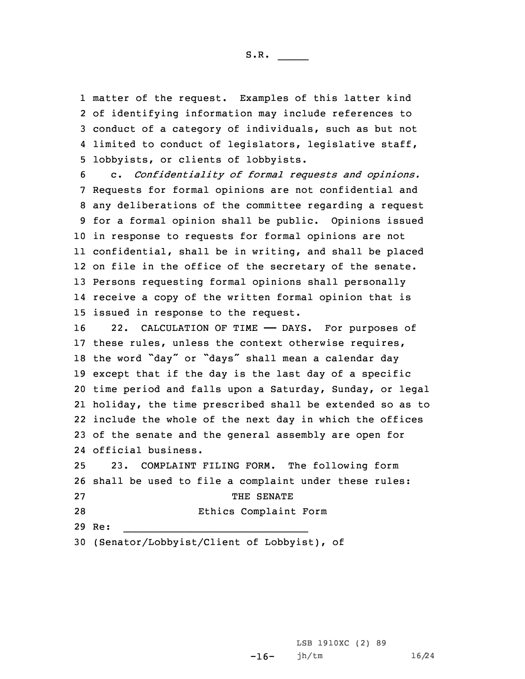matter of the request. Examples of this latter kind of identifying information may include references to conduct of <sup>a</sup> category of individuals, such as but not limited to conduct of legislators, legislative staff, lobbyists, or clients of lobbyists.

 c. *Confidentiality of formal requests and opinions.* Requests for formal opinions are not confidential and any deliberations of the committee regarding <sup>a</sup> request for <sup>a</sup> formal opinion shall be public. Opinions issued in response to requests for formal opinions are not confidential, shall be in writing, and shall be placed on file in the office of the secretary of the senate. Persons requesting formal opinions shall personally receive <sup>a</sup> copy of the written formal opinion that is issued in response to the request.

 22. CALCULATION OF TIME —— DAYS. For purposes of these rules, unless the context otherwise requires, the word "day" or "days" shall mean <sup>a</sup> calendar day except that if the day is the last day of <sup>a</sup> specific time period and falls upon <sup>a</sup> Saturday, Sunday, or legal holiday, the time prescribed shall be extended so as to include the whole of the next day in which the offices of the senate and the general assembly are open for official business.

25 23. COMPLAINT FILING FORM. The following form 26 shall be used to file <sup>a</sup> complaint under these rules: 27 THE SENATE 28 Ethics Complaint Form 29 Re:  $\overline{\phantom{a}}$  , and the contribution of the contribution of the contribution of the contribution of the contribution of the contribution of the contribution of the contribution of the contribution of the contribution of the

 $-16-$ 

30 (Senator/Lobbyist/Client of Lobbyist), of

LSB 1910XC (2) 89 jh/tm 16/24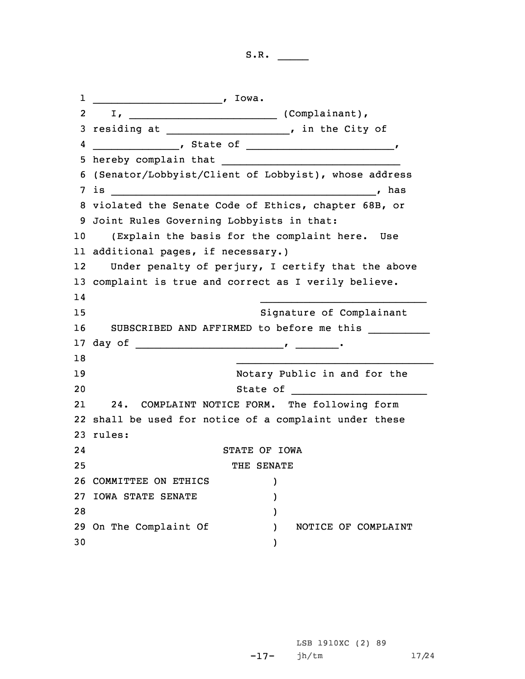1\_\_\_\_\_\_\_\_\_\_\_\_\_\_\_\_\_\_\_\_\_, Iowa. 2 I,  $I$ ,  $\begin{array}{ccc} \hline \end{array}$  (Complainant), 3 residing at \_\_\_\_\_\_\_\_\_\_\_\_\_\_\_\_\_\_\_\_, in the City of 4 \_\_\_\_\_\_\_\_\_\_\_\_\_\_, State of \_\_\_\_\_\_\_\_\_\_\_\_\_\_\_\_\_\_\_\_\_\_\_\_\_\_\_\_\_, 5 hereby complain that  $\overline{\phantom{a}}$  , and the set of the set of the set of the set of the set of the set of the set of the set of the set of the set of the set of the set of the set of the set of the set of the set of the set of the set of the s 6 (Senator/Lobbyist/Client of Lobbyist), whose address 7 is \_\_\_\_\_\_\_\_\_\_\_\_\_\_\_\_\_\_\_\_\_\_\_\_\_\_\_\_\_\_\_\_\_\_\_\_\_\_\_\_\_\_\_, has 8 violated the Senate Code of Ethics, chapter 68B, or 9 Joint Rules Governing Lobbyists in that: 10 (Explain the basis for the complaint here. Use 11 additional pages, if necessary.) 12 Under penalty of perjury, <sup>I</sup> certify that the above 13 complaint is true and correct as <sup>I</sup> verily believe. 14 $\overline{\phantom{a}}$  , and the contribution of the contribution of the contribution of the contribution of the contribution of the contribution of the contribution of the contribution of the contribution of the contribution of the 15 Signature of Complainant 16 SUBSCRIBED AND AFFIRMED to before me this \_\_\_\_\_\_\_\_\_\_ 17 day of \_\_\_\_\_\_\_\_\_\_\_\_\_\_\_\_\_\_\_\_\_\_\_\_, \_\_\_\_\_\_\_. 18  $\_$  , and the set of the set of the set of the set of the set of the set of the set of the set of the set of the set of the set of the set of the set of the set of the set of the set of the set of the set of the set of th 19 Notary Public in and for the 20 State of \_\_\_\_\_\_\_\_\_\_\_\_\_\_\_\_\_\_\_\_\_\_ 21 24. COMPLAINT NOTICE FORM. The following form 22 shall be used for notice of <sup>a</sup> complaint under these 23 rules: 24 STATE OF IOWA 25 THE SENATE 26 COMMITTEE ON ETHICS ) 27 IOWA STATE SENATE ) 28 ) 29 On The Complaint Of ) NOTICE OF COMPLAINT 30 )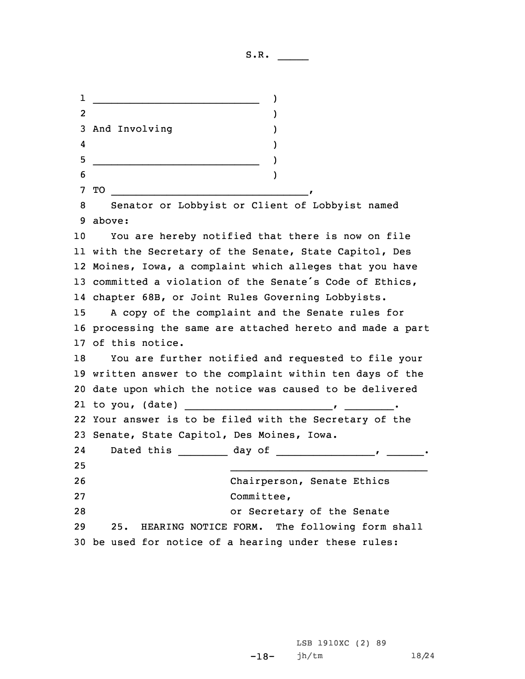\_\_\_\_\_\_\_\_\_\_\_\_\_\_\_\_\_\_\_\_\_\_\_\_\_\_\_ ) 2 $\sim$  2 and 2 and 2 and 2 and 2 and 2 and 2 and 2 and 2 and 2 and 2 and 2 and 2 and 2 and 2 and 2 and 2 and 2 and 2 and 2 and 2 and 2 and 2 and 2 and 2 and 2 and 2 and 2 and 2 and 2 and 2 and 2 and 2 and 2 and 2 and 2 and And Involving ) 4 $\frac{1}{2}$  (1) and (1) and (1) and (1) and (1) and (1) and (1) and (1) and (1) and (1) and (1) and (1) and (1) and (1) and (1) and (1) and (1) and (1) and (1) and (1) and (1) and (1) and (1) and (1) and (1) and (1) and (1) \_\_\_\_\_\_\_\_\_\_\_\_\_\_\_\_\_\_\_\_\_\_\_\_\_\_\_ )  $\sim$  0  $\sim$  0  $\sim$  0  $\sim$  0  $\sim$  0  $\sim$  0  $\sim$  0  $\sim$  0  $\sim$  0  $\sim$  0  $\sim$  0  $\sim$  0  $\sim$  0  $\sim$  0  $\sim$  0  $\sim$  0  $\sim$  0  $\sim$  0  $\sim$  0  $\sim$  0  $\sim$  0  $\sim$  0  $\sim$  0  $\sim$  0  $\sim$  0  $\sim$  0  $\sim$  0  $\sim$  0  $\sim$  0  $\sim$  0  $\sim$  0  $\sim$  TO \_\_\_\_\_\_\_\_\_\_\_\_\_\_\_\_\_\_\_\_\_\_\_\_\_\_\_\_\_\_\_\_, Senator or Lobbyist or Client of Lobbyist named 9 above: You are hereby notified that there is now on file with the Secretary of the Senate, State Capitol, Des Moines, Iowa, <sup>a</sup> complaint which alleges that you have committed <sup>a</sup> violation of the Senate's Code of Ethics, chapter 68B, or Joint Rules Governing Lobbyists. <sup>A</sup> copy of the complaint and the Senate rules for processing the same are attached hereto and made <sup>a</sup> part of this notice. You are further notified and requested to file your written answer to the complaint within ten days of the date upon which the notice was caused to be delivered to you, (date) \_\_\_\_\_\_\_\_\_\_\_\_\_\_\_\_\_\_\_\_\_\_\_\_, \_\_\_\_\_\_\_\_. Your answer is to be filed with the Secretary of the Senate, State Capitol, Des Moines, Iowa. 2424 Dated this \_\_\_\_\_\_\_\_ day of \_\_\_\_\_\_\_\_\_\_\_\_\_\_\_\_\_, \_\_\_\_\_\_\_. 25  $\overline{\phantom{a}}$  , and the set of the set of the set of the set of the set of the set of the set of the set of the set of the set of the set of the set of the set of the set of the set of the set of the set of the set of the s Chairperson, Senate Ethics Committee, or Secretary of the Senate 25. HEARING NOTICE FORM. The following form shall be used for notice of <sup>a</sup> hearing under these rules:

> -18- LSB 1910XC (2) 89 jh/tm 18/24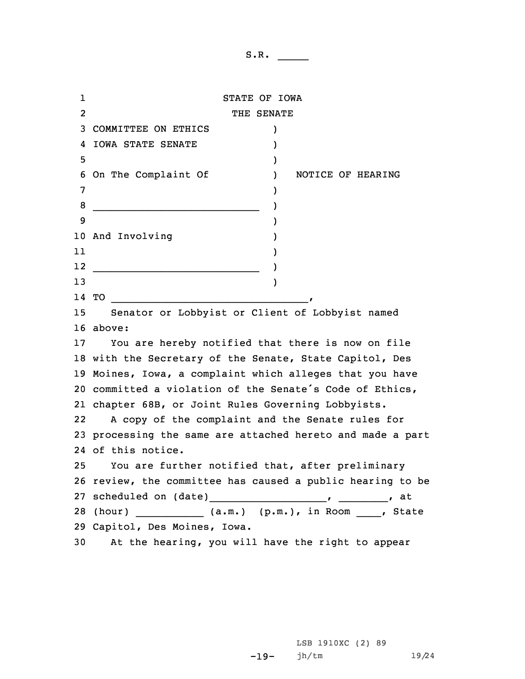1 STATE OF IOWA 2 THE SENATE 3 COMMITTEE ON ETHICS ) 4 IOWA STATE SENATE )  $5$  ) 6 On The Complaint Of ) NOTICE OF HEARING 7 ) 8 \_\_\_\_\_\_\_\_\_\_\_\_\_\_\_\_\_\_\_\_\_\_\_\_\_\_\_ ) 9 ) 10 And Involving ) 11 ) 12 \_\_\_\_\_\_\_\_\_\_\_\_\_\_\_\_\_\_\_\_\_\_\_\_\_\_\_ ) 13 ) 14 TO \_\_\_\_\_\_\_\_\_\_\_\_\_\_\_\_\_\_\_\_\_\_\_\_\_\_\_\_\_\_\_\_, 15 Senator or Lobbyist or Client of Lobbyist named 16 above: 17 You are hereby notified that there is now on file 18 with the Secretary of the Senate, State Capitol, Des 19 Moines, Iowa, <sup>a</sup> complaint which alleges that you have 20 committed <sup>a</sup> violation of the Senate's Code of Ethics, 21 chapter 68B, or Joint Rules Governing Lobbyists. 22 <sup>A</sup> copy of the complaint and the Senate rules for 23 processing the same are attached hereto and made <sup>a</sup> part 24 of this notice. 25 You are further notified that, after preliminary 26 review, the committee has caused <sup>a</sup> public hearing to be 27 scheduled on (date)\_\_\_\_\_\_\_\_\_\_\_\_\_\_\_\_\_\_\_, \_\_\_\_\_\_\_\_, at 28 (hour) \_\_\_\_\_\_\_\_\_\_\_\_ (a.m.) (p.m.), in Room \_\_\_\_, State 29 Capitol, Des Moines, Iowa. 30 At the hearing, you will have the right to appear

> -19- jh/tm 19/24LSB 1910XC (2) 89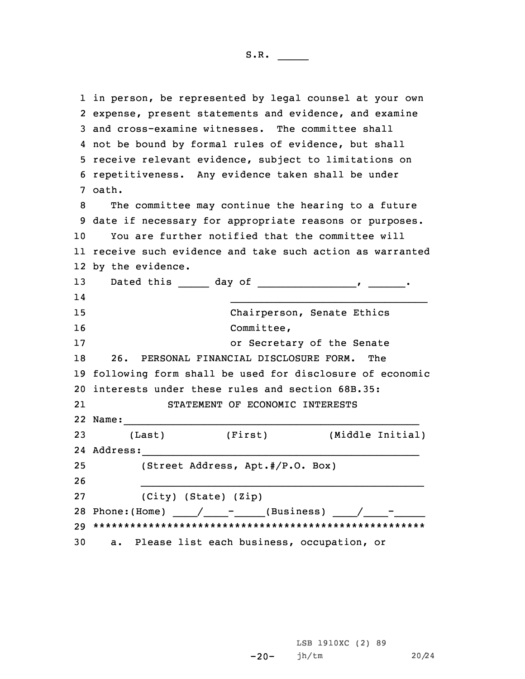in person, be represented by legal counsel at your own expense, present statements and evidence, and examine and cross-examine witnesses. The committee shall not be bound by formal rules of evidence, but shall receive relevant evidence, subject to limitations on repetitiveness. Any evidence taken shall be under 7 oath. The committee may continue the hearing to <sup>a</sup> future date if necessary for appropriate reasons or purposes. You are further notified that the committee will receive such evidence and take such action as warranted by the evidence. 13 Dated this \_\_\_\_\_ day of \_\_\_\_\_\_\_\_\_\_\_\_\_\_\_\_\_\_\_\_, \_\_\_\_\_\_\_. 14 $\overline{\phantom{a}}$  , and the contribution of the contribution of the contribution of the contribution of the contribution of the contribution of the contribution of the contribution of the contribution of the contribution of the Chairperson, Senate Ethics Committee, or Secretary of the Senate 26. PERSONAL FINANCIAL DISCLOSURE FORM. The following form shall be used for disclosure of economic interests under these rules and section 68B.35: 21 STATEMENT OF ECONOMIC INTERESTS Name:\_\_\_\_\_\_\_\_\_\_\_\_\_\_\_\_\_\_\_\_\_\_\_\_\_\_\_\_\_\_\_\_\_\_\_\_\_\_\_\_\_\_\_\_\_\_\_\_ (Last) (First) (Middle Initial) Address:\_\_\_\_\_\_\_\_\_\_\_\_\_\_\_\_\_\_\_\_\_\_\_\_\_\_\_\_\_\_\_\_\_\_\_\_\_\_\_\_\_\_\_\_\_ (Street Address, Apt.#/P.O. Box) 26  $-$  . The contribution of the contribution of the contribution of  $\mathcal{L}_\mathcal{A}$  (City) (State) (Zip) Phone:(Home) \_\_\_\_/\_\_\_\_-\_\_\_\_\_(Business) \_\_\_\_/\_\_\_\_-\_\_\_\_\_ \*\*\*\*\*\*\*\*\*\*\*\*\*\*\*\*\*\*\*\*\*\*\*\*\*\*\*\*\*\*\*\*\*\*\*\*\*\*\*\*\*\*\*\*\*\*\*\*\*\*\*\*\*\* a. Please list each business, occupation, or

> -20- LSB 1910XC (2) 89 jh/tm 20/24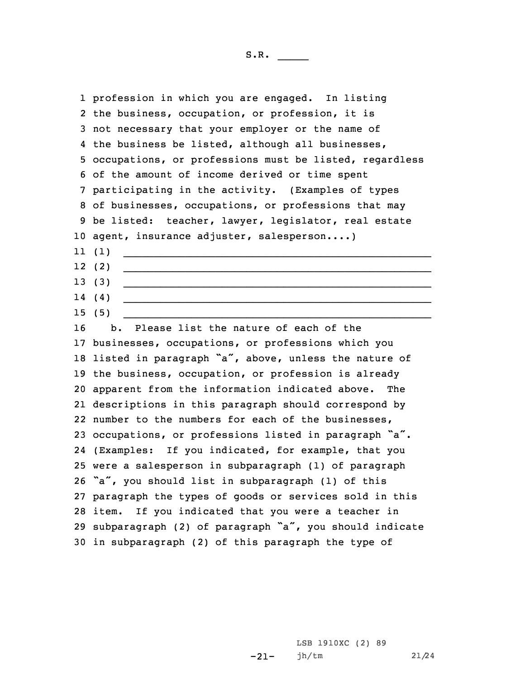profession in which you are engaged. In listing the business, occupation, or profession, it is not necessary that your employer or the name of the business be listed, although all businesses, occupations, or professions must be listed, regardless of the amount of income derived or time spent participating in the activity. (Examples of types of businesses, occupations, or professions that may be listed: teacher, lawyer, legislator, real estate agent, insurance adjuster, salesperson....) 11 (1)  $\overline{\phantom{a}}$  , and the contribution of the contribution of the contribution of the contribution of the contribution of the contribution of the contribution of the contribution of the contribution of the contribution of the 12 (2)  $\_$  , and the set of the set of the set of the set of the set of the set of the set of the set of the set of the set of the set of the set of the set of the set of the set of the set of the set of the set of the set of th 13 (3)  $\frac{1}{2}$  ,  $\frac{1}{2}$  ,  $\frac{1}{2}$  ,  $\frac{1}{2}$  ,  $\frac{1}{2}$  ,  $\frac{1}{2}$  ,  $\frac{1}{2}$  ,  $\frac{1}{2}$  ,  $\frac{1}{2}$  ,  $\frac{1}{2}$  ,  $\frac{1}{2}$  ,  $\frac{1}{2}$  ,  $\frac{1}{2}$  ,  $\frac{1}{2}$  ,  $\frac{1}{2}$  ,  $\frac{1}{2}$  ,  $\frac{1}{2}$  ,  $\frac{1}{2}$  ,  $\frac{1$ 14 (4)  $\overline{\phantom{a}}$  , and the contribution of the contribution of the contribution of the contribution of the contribution of the contribution of the contribution of the contribution of the contribution of the contribution of the 15 (5)  $\_$  , and the set of the set of the set of the set of the set of the set of the set of the set of the set of the set of the set of the set of the set of the set of the set of the set of the set of the set of the set of th b. Please list the nature of each of the businesses, occupations, or professions which you 18 listed in paragraph "a", above, unless the nature of the business, occupation, or profession is already apparent from the information indicated above. The descriptions in this paragraph should correspond by number to the numbers for each of the businesses, occupations, or professions listed in paragraph "a". (Examples: If you indicated, for example, that you were <sup>a</sup> salesperson in subparagraph (1) of paragraph "a", you should list in subparagraph (1) of this paragraph the types of goods or services sold in this item. If you indicated that you were <sup>a</sup> teacher in subparagraph (2) of paragraph "a", you should indicate in subparagraph (2) of this paragraph the type of

> -21-LSB 1910XC (2) 89 jh/tm 21/24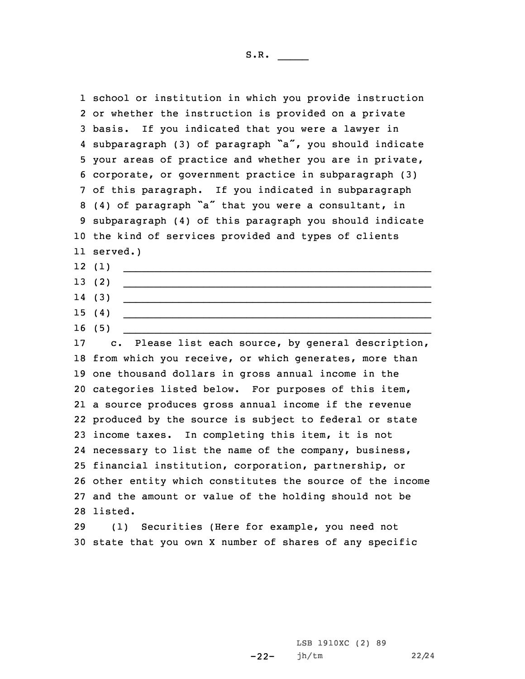school or institution in which you provide instruction or whether the instruction is provided on <sup>a</sup> private basis. If you indicated that you were <sup>a</sup> lawyer in subparagraph (3) of paragraph "a", you should indicate your areas of practice and whether you are in private, corporate, or government practice in subparagraph (3) of this paragraph. If you indicated in subparagraph (4) of paragraph "a" that you were <sup>a</sup> consultant, in subparagraph (4) of this paragraph you should indicate the kind of services provided and types of clients 11 served.) 12 (1)  $\_$  , and the set of the set of the set of the set of the set of the set of the set of the set of the set of the set of the set of the set of the set of the set of the set of the set of the set of the set of the set of th 13 (2)  $\frac{1}{2}$  ,  $\frac{1}{2}$  ,  $\frac{1}{2}$  ,  $\frac{1}{2}$  ,  $\frac{1}{2}$  ,  $\frac{1}{2}$  ,  $\frac{1}{2}$  ,  $\frac{1}{2}$  ,  $\frac{1}{2}$  ,  $\frac{1}{2}$  ,  $\frac{1}{2}$  ,  $\frac{1}{2}$  ,  $\frac{1}{2}$  ,  $\frac{1}{2}$  ,  $\frac{1}{2}$  ,  $\frac{1}{2}$  ,  $\frac{1}{2}$  ,  $\frac{1}{2}$  ,  $\frac{1$ 14 (3)  $\overline{\phantom{a}}$  , and the contribution of the contribution of the contribution of the contribution of the contribution of the contribution of the contribution of the contribution of the contribution of the contribution of the 15 (4)  $\_$  , and the set of the set of the set of the set of the set of the set of the set of the set of the set of the set of the set of the set of the set of the set of the set of the set of the set of the set of the set of th 16 (5)  $\overline{\phantom{a}}$  , and the contribution of the contribution of the contribution of the contribution of the contribution of the contribution of the contribution of the contribution of the contribution of the contribution of the c. Please list each source, by general description, 18 from which you receive, or which generates, more than one thousand dollars in gross annual income in the categories listed below. For purposes of this item, <sup>a</sup> source produces gross annual income if the revenue produced by the source is subject to federal or state income taxes. In completing this item, it is not necessary to list the name of the company, business, financial institution, corporation, partnership, or other entity which constitutes the source of the income and the amount or value of the holding should not be 28 listed.

29 (1) Securities (Here for example, you need not 30 state that you own <sup>X</sup> number of shares of any specific

> -22-LSB 1910XC (2) 89 jh/tm 22/24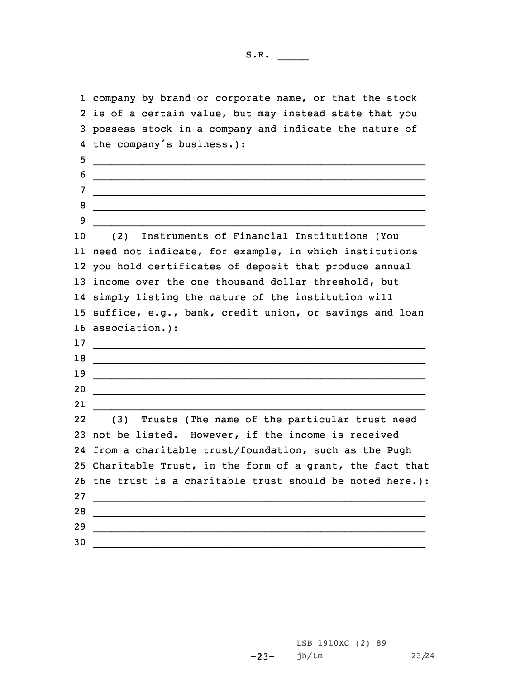company by brand or corporate name, or that the stock is of <sup>a</sup> certain value, but may instead state that you possess stock in <sup>a</sup> company and indicate the nature of the company's business.): \_\_\_\_\_\_\_\_\_\_\_\_\_\_\_\_\_\_\_\_\_\_\_\_\_\_\_\_\_\_\_\_\_\_\_\_\_\_\_\_\_\_\_\_\_\_\_\_\_\_\_\_\_\_  $\overline{6}$   $\_$  $7 \quad \qquad$ \_\_\_\_\_\_\_\_\_\_\_\_\_\_\_\_\_\_\_\_\_\_\_\_\_\_\_\_\_\_\_\_\_\_\_\_\_\_\_\_\_\_\_\_\_\_\_\_\_\_\_\_\_\_ \_\_\_\_\_\_\_\_\_\_\_\_\_\_\_\_\_\_\_\_\_\_\_\_\_\_\_\_\_\_\_\_\_\_\_\_\_\_\_\_\_\_\_\_\_\_\_\_\_\_\_\_\_\_ 9 \_\_\_\_\_\_\_\_\_\_\_\_\_\_\_\_\_\_\_\_\_\_\_\_\_\_\_\_\_\_\_\_\_\_\_\_\_\_\_\_\_\_\_\_\_\_\_\_\_\_\_\_\_\_ (2) Instruments of Financial Institutions (You need not indicate, for example, in which institutions you hold certificates of deposit that produce annual income over the one thousand dollar threshold, but simply listing the nature of the institution will suffice, e.g., bank, credit union, or savings and loan association.): \_\_\_\_\_\_\_\_\_\_\_\_\_\_\_\_\_\_\_\_\_\_\_\_\_\_\_\_\_\_\_\_\_\_\_\_\_\_\_\_\_\_\_\_\_\_\_\_\_\_\_\_\_\_ \_\_\_\_\_\_\_\_\_\_\_\_\_\_\_\_\_\_\_\_\_\_\_\_\_\_\_\_\_\_\_\_\_\_\_\_\_\_\_\_\_\_\_\_\_\_\_\_\_\_\_\_\_\_ \_\_\_\_\_\_\_\_\_\_\_\_\_\_\_\_\_\_\_\_\_\_\_\_\_\_\_\_\_\_\_\_\_\_\_\_\_\_\_\_\_\_\_\_\_\_\_\_\_\_\_\_\_\_ 20 \_\_\_\_\_\_\_\_\_\_\_\_\_\_\_\_\_\_\_\_\_\_\_\_\_\_\_\_\_\_\_\_\_\_\_\_\_\_\_\_\_\_\_\_\_\_\_\_\_\_\_\_\_\_ 21 \_\_\_\_\_\_\_\_\_\_\_\_\_\_\_\_\_\_\_\_\_\_\_\_\_\_\_\_\_\_\_\_\_\_\_\_\_\_\_\_\_\_\_\_\_\_\_\_\_\_\_\_\_\_ 22 (3) Trusts (The name of the particular trust need not be listed. However, if the income is received from <sup>a</sup> charitable trust/foundation, such as the Pugh Charitable Trust, in the form of <sup>a</sup> grant, the fact that the trust is <sup>a</sup> charitable trust should be noted here.): 27 \_\_\_\_\_\_\_\_\_\_\_\_\_\_\_\_\_\_\_\_\_\_\_\_\_\_\_\_\_\_\_\_\_\_\_\_\_\_\_\_\_\_\_\_\_\_\_\_\_\_\_\_\_\_ \_\_\_\_\_\_\_\_\_\_\_\_\_\_\_\_\_\_\_\_\_\_\_\_\_\_\_\_\_\_\_\_\_\_\_\_\_\_\_\_\_\_\_\_\_\_\_\_\_\_\_\_\_\_ \_\_\_\_\_\_\_\_\_\_\_\_\_\_\_\_\_\_\_\_\_\_\_\_\_\_\_\_\_\_\_\_\_\_\_\_\_\_\_\_\_\_\_\_\_\_\_\_\_\_\_\_\_\_ \_\_\_\_\_\_\_\_\_\_\_\_\_\_\_\_\_\_\_\_\_\_\_\_\_\_\_\_\_\_\_\_\_\_\_\_\_\_\_\_\_\_\_\_\_\_\_\_\_\_\_\_\_\_